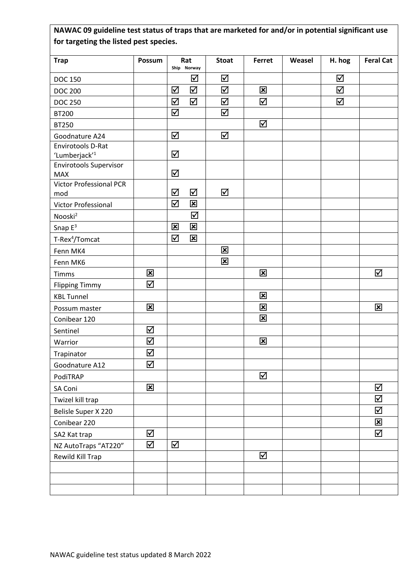## **NAWAC 09 guideline test status of traps that are marketed for and/or in potential significant use for targeting the listed pest species.**

| <b>Trap</b>                         | Possum                    |                         | Rat<br>Ship Norway      | <b>Stoat</b>            | Ferret                  | Weasel | H. hog   | <b>Feral Cat</b>          |
|-------------------------------------|---------------------------|-------------------------|-------------------------|-------------------------|-------------------------|--------|----------|---------------------------|
| <b>DOC 150</b>                      |                           |                         | ☑                       | ☑                       |                         |        | ☑        |                           |
| <b>DOC 200</b>                      |                           | ☑                       | $\overline{\mathsf{M}}$ | ☑                       | $\overline{\mathbf{x}}$ |        | $\Delta$ |                           |
| <b>DOC 250</b>                      |                           | ☑                       | ☑                       | ☑                       | ☑                       |        | ☑        |                           |
| <b>BT200</b>                        |                           | ☑                       |                         | ☑                       |                         |        |          |                           |
|                                     |                           |                         |                         |                         | ☑                       |        |          |                           |
| <b>BT250</b>                        |                           |                         |                         | ☑                       |                         |        |          |                           |
| Goodnature A24<br>Envirotools D-Rat |                           | $\blacktriangledown$    |                         |                         |                         |        |          |                           |
| 'Lumberjack' <sup>1</sup>           |                           | ☑                       |                         |                         |                         |        |          |                           |
| <b>Envirotools Supervisor</b>       |                           |                         |                         |                         |                         |        |          |                           |
| <b>MAX</b>                          |                           | ☑                       |                         |                         |                         |        |          |                           |
| <b>Victor Professional PCR</b>      |                           |                         |                         |                         |                         |        |          |                           |
| mod                                 |                           | ☑                       | ☑                       | ☑                       |                         |        |          |                           |
| Victor Professional                 |                           | ☑                       | $\overline{\mathbf{x}}$ |                         |                         |        |          |                           |
| Nooski <sup>2</sup>                 |                           |                         | ☑                       |                         |                         |        |          |                           |
| Snap $E^3$                          |                           | $\overline{\mathbf{x}}$ | $\overline{\mathbf{x}}$ |                         |                         |        |          |                           |
| T-Rex <sup>4</sup> /Tomcat          |                           | ☑                       | $\overline{\mathbf{x}}$ |                         |                         |        |          |                           |
| Fenn MK4                            |                           |                         |                         | $\overline{\mathbf{x}}$ |                         |        |          |                           |
| Fenn MK6                            |                           |                         |                         | $\overline{\mathbf{x}}$ |                         |        |          |                           |
| Timms                               | $\boldsymbol{\mathsf{x}}$ |                         |                         |                         | $\overline{\mathbf{x}}$ |        |          | ☑                         |
| <b>Flipping Timmy</b>               | $\overline{\mathbf{M}}$   |                         |                         |                         |                         |        |          |                           |
| <b>KBL Tunnel</b>                   |                           |                         |                         |                         | $\overline{\mathbf{x}}$ |        |          |                           |
| Possum master                       | $\overline{\mathbf{x}}$   |                         |                         |                         | $\overline{\mathbf{x}}$ |        |          | $\mathbf{\overline{x}}$   |
| Conibear 120                        |                           |                         |                         |                         | $\overline{\mathbf{x}}$ |        |          |                           |
| Sentinel                            | ☑                         |                         |                         |                         |                         |        |          |                           |
| Warrior                             | ☑                         |                         |                         |                         | $\overline{\mathbf{x}}$ |        |          |                           |
| Trapinator                          | ☑                         |                         |                         |                         |                         |        |          |                           |
| Goodnature A12                      | $\Delta$                  |                         |                         |                         |                         |        |          |                           |
| PodiTRAP                            |                           |                         |                         |                         | ☑                       |        |          |                           |
| SA Coni                             | $\mathbf{x}$              |                         |                         |                         |                         |        |          | ☑                         |
| Twizel kill trap                    |                           |                         |                         |                         |                         |        |          | ☑                         |
|                                     |                           |                         |                         |                         |                         |        |          | ☑                         |
| Belisle Super X 220                 |                           |                         |                         |                         |                         |        |          | $\boldsymbol{\mathsf{x}}$ |
| Conibear 220                        |                           |                         |                         |                         |                         |        |          |                           |
| SA2 Kat trap                        | ☑                         |                         |                         |                         |                         |        |          | ☑                         |
| NZ AutoTraps "AT220"                | ☑                         | ☑                       |                         |                         |                         |        |          |                           |
| Rewild Kill Trap                    |                           |                         |                         |                         | $\Delta$                |        |          |                           |
|                                     |                           |                         |                         |                         |                         |        |          |                           |
|                                     |                           |                         |                         |                         |                         |        |          |                           |
|                                     |                           |                         |                         |                         |                         |        |          |                           |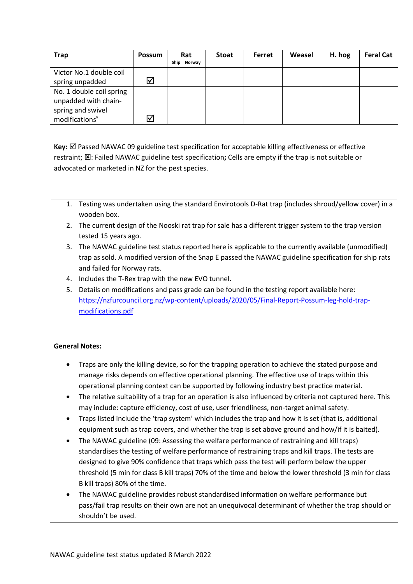| <b>Trap</b>                | <b>Possum</b>        | Rat<br>Norway<br>Ship | <b>Stoat</b> | Ferret | Weasel | H. hog | <b>Feral Cat</b> |
|----------------------------|----------------------|-----------------------|--------------|--------|--------|--------|------------------|
|                            |                      |                       |              |        |        |        |                  |
| Victor No.1 double coil    |                      |                       |              |        |        |        |                  |
| spring unpadded            | $\blacktriangledown$ |                       |              |        |        |        |                  |
| No. 1 double coil spring   |                      |                       |              |        |        |        |                  |
| unpadded with chain-       |                      |                       |              |        |        |        |                  |
| spring and swivel          |                      |                       |              |        |        |        |                  |
| modifications <sup>5</sup> | ☑                    |                       |              |        |        |        |                  |

Key:  $\boxtimes$  Passed NAWAC 09 guideline test specification for acceptable killing effectiveness or effective restraint; : Failed NAWAC guideline test specification**;** Cells are empty if the trap is not suitable or advocated or marketed in NZ for the pest species.

- 1. Testing was undertaken using the standard Envirotools D-Rat trap (includes shroud/yellow cover) in a wooden box.
- 2. The current design of the Nooski rat trap for sale has a different trigger system to the trap version tested 15 years ago.
- 3. The NAWAC guideline test status reported here is applicable to the currently available (unmodified) trap as sold. A modified version of the Snap E passed the NAWAC guideline specification for ship rats and failed for Norway rats.
- 4. Includes the T-Rex trap with the new EVO tunnel.
- 5. Details on modifications and pass grade can be found in the testing report available here: [https://nzfurcouncil.org.nz/wp-content/uploads/2020/05/Final-Report-Possum-leg-hold-trap](https://nzfurcouncil.org.nz/wp-content/uploads/2020/05/Final-Report-Possum-leg-hold-trap-modifications.pdf)[modifications.pdf](https://nzfurcouncil.org.nz/wp-content/uploads/2020/05/Final-Report-Possum-leg-hold-trap-modifications.pdf)

## **General Notes:**

- Traps are only the killing device, so for the trapping operation to achieve the stated purpose and manage risks depends on effective operational planning. The effective use of traps within this operational planning context can be supported by following industry best practice material.
- The relative suitability of a trap for an operation is also influenced by criteria not captured here. This may include: capture efficiency, cost of use, user friendliness, non-target animal safety.
- Traps listed include the 'trap system' which includes the trap and how it is set (that is, additional equipment such as trap covers, and whether the trap is set above ground and how/if it is baited).
- The NAWAC guideline (09: Assessing the welfare performance of restraining and kill traps) standardises the testing of welfare performance of restraining traps and kill traps. The tests are designed to give 90% confidence that traps which pass the test will perform below the upper threshold (5 min for class B kill traps) 70% of the time and below the lower threshold (3 min for class B kill traps) 80% of the time.
- The NAWAC guideline provides robust standardised information on welfare performance but pass/fail trap results on their own are not an unequivocal determinant of whether the trap should or shouldn't be used.